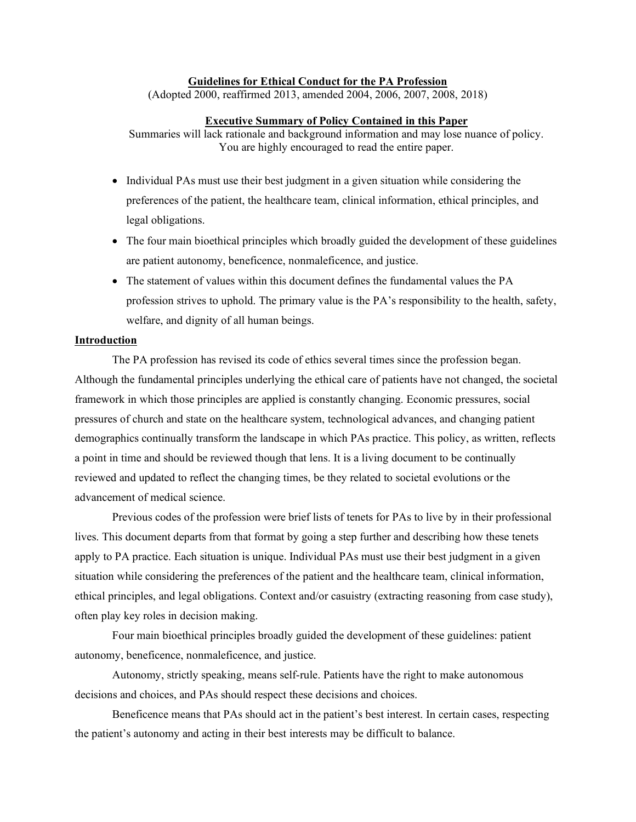#### **Guidelines for Ethical Conduct for the PA Profession**

(Adopted 2000, reaffirmed 2013, amended 2004, 2006, 2007, 2008, 2018)

#### **Executive Summary of Policy Contained in this Paper**

Summaries will lack rationale and background information and may lose nuance of policy. You are highly encouraged to read the entire paper.

- Individual PAs must use their best judgment in a given situation while considering the preferences of the patient, the healthcare team, clinical information, ethical principles, and legal obligations.
- The four main bioethical principles which broadly guided the development of these guidelines are patient autonomy, beneficence, nonmaleficence, and justice.
- The statement of values within this document defines the fundamental values the PA profession strives to uphold. The primary value is the PA's responsibility to the health, safety, welfare, and dignity of all human beings.

## **Introduction**

The PA profession has revised its code of ethics several times since the profession began. Although the fundamental principles underlying the ethical care of patients have not changed, the societal framework in which those principles are applied is constantly changing. Economic pressures, social pressures of church and state on the healthcare system, technological advances, and changing patient demographics continually transform the landscape in which PAs practice. This policy, as written, reflects a point in time and should be reviewed though that lens. It is a living document to be continually reviewed and updated to reflect the changing times, be they related to societal evolutions or the advancement of medical science.

Previous codes of the profession were brief lists of tenets for PAs to live by in their professional lives. This document departs from that format by going a step further and describing how these tenets apply to PA practice. Each situation is unique. Individual PAs must use their best judgment in a given situation while considering the preferences of the patient and the healthcare team, clinical information, ethical principles, and legal obligations. Context and/or casuistry (extracting reasoning from case study), often play key roles in decision making.

Four main bioethical principles broadly guided the development of these guidelines: patient autonomy, beneficence, nonmaleficence, and justice.

Autonomy, strictly speaking, means self-rule. Patients have the right to make autonomous decisions and choices, and PAs should respect these decisions and choices.

Beneficence means that PAs should act in the patient's best interest. In certain cases, respecting the patient's autonomy and acting in their best interests may be difficult to balance.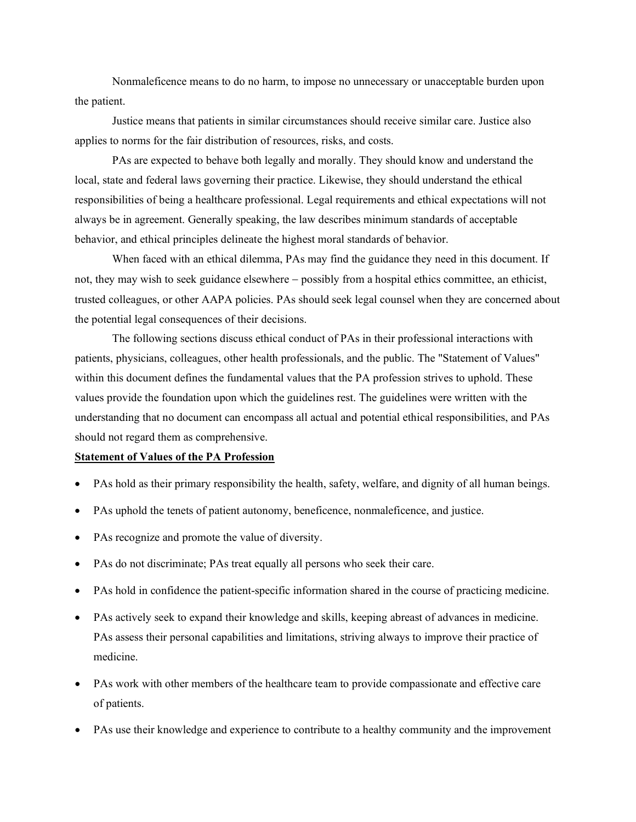Nonmaleficence means to do no harm, to impose no unnecessary or unacceptable burden upon the patient.

Justice means that patients in similar circumstances should receive similar care. Justice also applies to norms for the fair distribution of resources, risks, and costs.

PAs are expected to behave both legally and morally. They should know and understand the local, state and federal laws governing their practice. Likewise, they should understand the ethical responsibilities of being a healthcare professional. Legal requirements and ethical expectations will not always be in agreement. Generally speaking, the law describes minimum standards of acceptable behavior, and ethical principles delineate the highest moral standards of behavior.

When faced with an ethical dilemma, PAs may find the guidance they need in this document. If not, they may wish to seek guidance elsewhere − possibly from a hospital ethics committee, an ethicist, trusted colleagues, or other AAPA policies. PAs should seek legal counsel when they are concerned about the potential legal consequences of their decisions.

The following sections discuss ethical conduct of PAs in their professional interactions with patients, physicians, colleagues, other health professionals, and the public. The "Statement of Values" within this document defines the fundamental values that the PA profession strives to uphold. These values provide the foundation upon which the guidelines rest. The guidelines were written with the understanding that no document can encompass all actual and potential ethical responsibilities, and PAs should not regard them as comprehensive.

## **Statement of Values of the PA Profession**

- PAs hold as their primary responsibility the health, safety, welfare, and dignity of all human beings.
- PAs uphold the tenets of patient autonomy, beneficence, nonmaleficence, and justice.
- PAs recognize and promote the value of diversity.
- PAs do not discriminate; PAs treat equally all persons who seek their care.
- PAs hold in confidence the patient-specific information shared in the course of practicing medicine.
- PAs actively seek to expand their knowledge and skills, keeping abreast of advances in medicine. PAs assess their personal capabilities and limitations, striving always to improve their practice of medicine.
- PAs work with other members of the healthcare team to provide compassionate and effective care of patients.
- PAs use their knowledge and experience to contribute to a healthy community and the improvement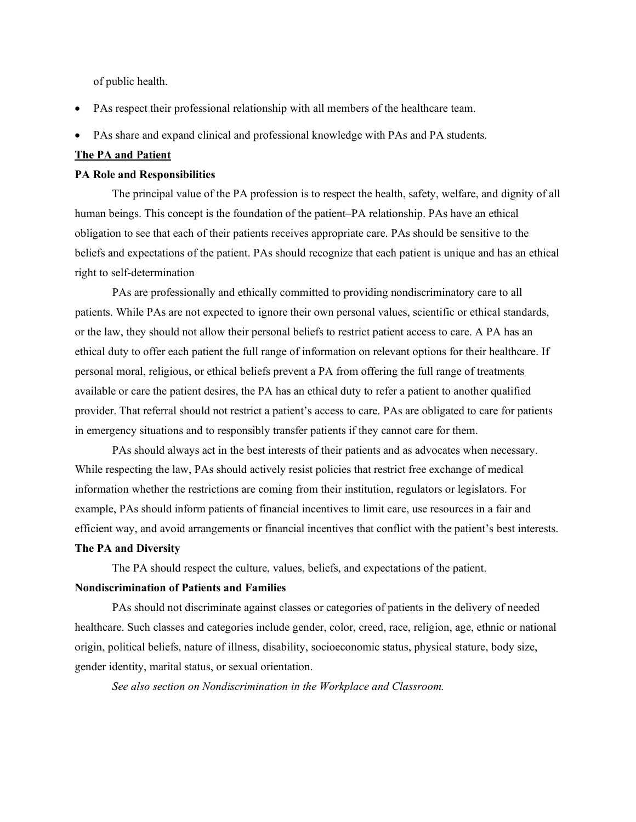of public health.

- PAs respect their professional relationship with all members of the healthcare team.
- PAs share and expand clinical and professional knowledge with PAs and PA students.

# **The PA and Patient**

## **PA Role and Responsibilities**

The principal value of the PA profession is to respect the health, safety, welfare, and dignity of all human beings. This concept is the foundation of the patient–PA relationship. PAs have an ethical obligation to see that each of their patients receives appropriate care. PAs should be sensitive to the beliefs and expectations of the patient. PAs should recognize that each patient is unique and has an ethical right to self-determination

PAs are professionally and ethically committed to providing nondiscriminatory care to all patients. While PAs are not expected to ignore their own personal values, scientific or ethical standards, or the law, they should not allow their personal beliefs to restrict patient access to care. A PA has an ethical duty to offer each patient the full range of information on relevant options for their healthcare. If personal moral, religious, or ethical beliefs prevent a PA from offering the full range of treatments available or care the patient desires, the PA has an ethical duty to refer a patient to another qualified provider. That referral should not restrict a patient's access to care. PAs are obligated to care for patients in emergency situations and to responsibly transfer patients if they cannot care for them.

PAs should always act in the best interests of their patients and as advocates when necessary. While respecting the law, PAs should actively resist policies that restrict free exchange of medical information whether the restrictions are coming from their institution, regulators or legislators. For example, PAs should inform patients of financial incentives to limit care, use resources in a fair and efficient way, and avoid arrangements or financial incentives that conflict with the patient's best interests.

# **The PA and Diversity**

The PA should respect the culture, values, beliefs, and expectations of the patient.

# **Nondiscrimination of Patients and Families**

PAs should not discriminate against classes or categories of patients in the delivery of needed healthcare. Such classes and categories include gender, color, creed, race, religion, age, ethnic or national origin, political beliefs, nature of illness, disability, socioeconomic status, physical stature, body size, gender identity, marital status, or sexual orientation.

*See also section on Nondiscrimination in the Workplace and Classroom.*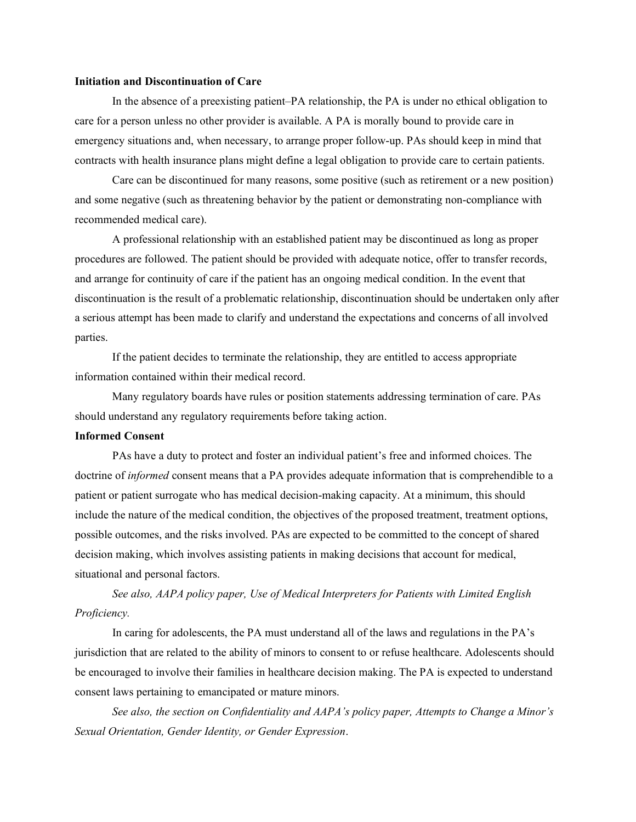#### **Initiation and Discontinuation of Care**

In the absence of a preexisting patient–PA relationship, the PA is under no ethical obligation to care for a person unless no other provider is available. A PA is morally bound to provide care in emergency situations and, when necessary, to arrange proper follow-up. PAs should keep in mind that contracts with health insurance plans might define a legal obligation to provide care to certain patients.

Care can be discontinued for many reasons, some positive (such as retirement or a new position) and some negative (such as threatening behavior by the patient or demonstrating non-compliance with recommended medical care).

A professional relationship with an established patient may be discontinued as long as proper procedures are followed. The patient should be provided with adequate notice, offer to transfer records, and arrange for continuity of care if the patient has an ongoing medical condition. In the event that discontinuation is the result of a problematic relationship, discontinuation should be undertaken only after a serious attempt has been made to clarify and understand the expectations and concerns of all involved parties.

If the patient decides to terminate the relationship, they are entitled to access appropriate information contained within their medical record.

Many regulatory boards have rules or position statements addressing termination of care. PAs should understand any regulatory requirements before taking action.

### **Informed Consent**

PAs have a duty to protect and foster an individual patient's free and informed choices. The doctrine of *informed* consent means that a PA provides adequate information that is comprehendible to a patient or patient surrogate who has medical decision-making capacity. At a minimum, this should include the nature of the medical condition, the objectives of the proposed treatment, treatment options, possible outcomes, and the risks involved. PAs are expected to be committed to the concept of shared decision making, which involves assisting patients in making decisions that account for medical, situational and personal factors.

*See also, AAPA policy paper, Use of Medical Interpreters for Patients with Limited English Proficiency.*

In caring for adolescents, the PA must understand all of the laws and regulations in the PA's jurisdiction that are related to the ability of minors to consent to or refuse healthcare. Adolescents should be encouraged to involve their families in healthcare decision making. The PA is expected to understand consent laws pertaining to emancipated or mature minors.

*See also, the section on Confidentiality and AAPA's policy paper, Attempts to Change a Minor's Sexual Orientation, Gender Identity, or Gender Expression*.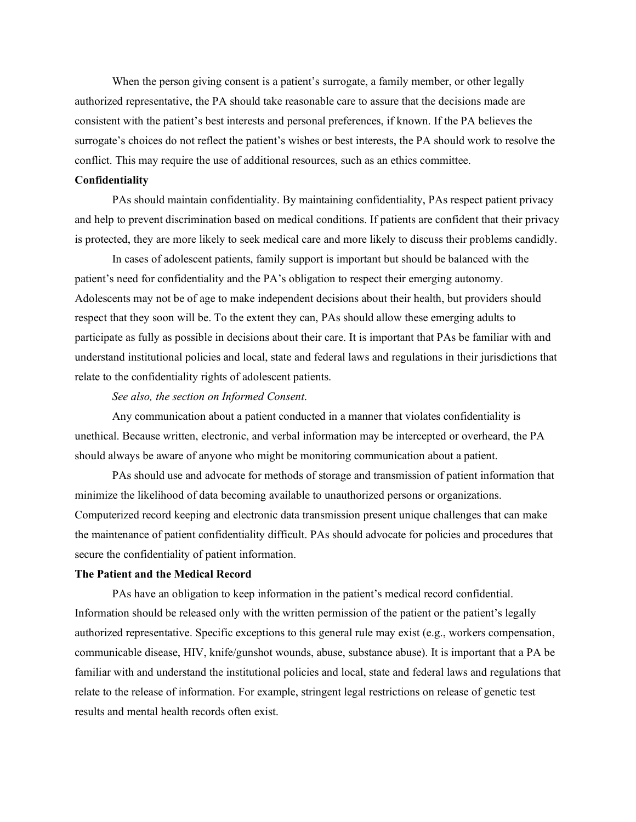When the person giving consent is a patient's surrogate, a family member, or other legally authorized representative, the PA should take reasonable care to assure that the decisions made are consistent with the patient's best interests and personal preferences, if known. If the PA believes the surrogate's choices do not reflect the patient's wishes or best interests, the PA should work to resolve the conflict. This may require the use of additional resources, such as an ethics committee.

#### **Confidentiality**

PAs should maintain confidentiality. By maintaining confidentiality, PAs respect patient privacy and help to prevent discrimination based on medical conditions. If patients are confident that their privacy is protected, they are more likely to seek medical care and more likely to discuss their problems candidly.

In cases of adolescent patients, family support is important but should be balanced with the patient's need for confidentiality and the PA's obligation to respect their emerging autonomy. Adolescents may not be of age to make independent decisions about their health, but providers should respect that they soon will be. To the extent they can, PAs should allow these emerging adults to participate as fully as possible in decisions about their care. It is important that PAs be familiar with and understand institutional policies and local, state and federal laws and regulations in their jurisdictions that relate to the confidentiality rights of adolescent patients.

## *See also, the section on Informed Consent*.

Any communication about a patient conducted in a manner that violates confidentiality is unethical. Because written, electronic, and verbal information may be intercepted or overheard, the PA should always be aware of anyone who might be monitoring communication about a patient.

PAs should use and advocate for methods of storage and transmission of patient information that minimize the likelihood of data becoming available to unauthorized persons or organizations. Computerized record keeping and electronic data transmission present unique challenges that can make the maintenance of patient confidentiality difficult. PAs should advocate for policies and procedures that secure the confidentiality of patient information.

## **The Patient and the Medical Record**

PAs have an obligation to keep information in the patient's medical record confidential. Information should be released only with the written permission of the patient or the patient's legally authorized representative. Specific exceptions to this general rule may exist (e.g., workers compensation, communicable disease, HIV, knife/gunshot wounds, abuse, substance abuse). It is important that a PA be familiar with and understand the institutional policies and local, state and federal laws and regulations that relate to the release of information. For example, stringent legal restrictions on release of genetic test results and mental health records often exist.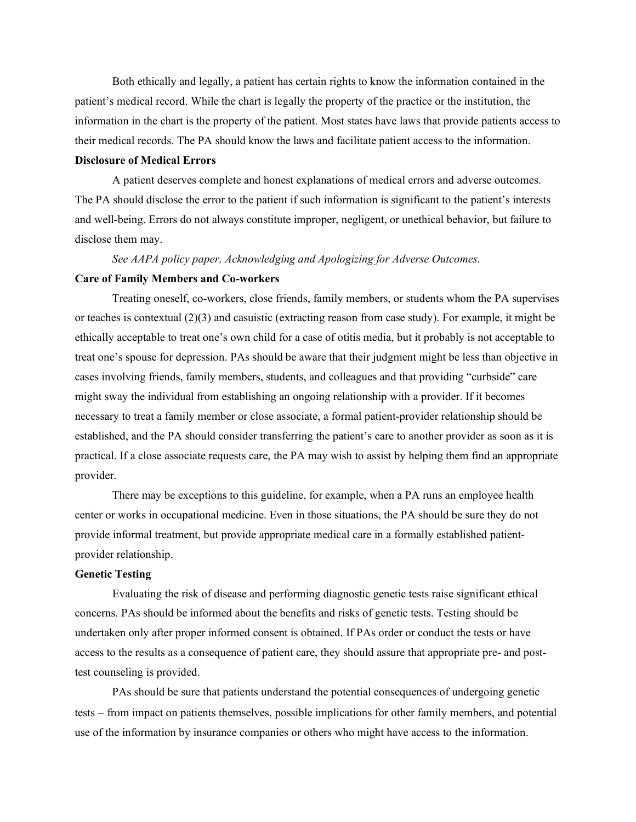Both ethically and legally, a patient has certain rights to know the information contained in the patient's medical record. While the chart is legally the property of the practice or the institution, the information in the chart is the property of the patient. Most states have laws that provide patients access to their medical records. The PA should know the laws and facilitate patient access to the information.

# **Disclosure of Medical Errors**

A patient deserves complete and honest explanations of medical errors and adverse outcomes. The PA should disclose the error to the patient if such information is significant to the patient's interests and well-being. Errors do not always constitute improper, negligent, or unethical behavior, but failure to disclose them may.

*See AAPA policy paper, Acknowledging and Apologizing for Adverse Outcomes.* 

#### **Care of Family Members and Co-workers**

Treating oneself, co-workers, close friends, family members, or students whom the PA supervises or teaches is contextual (2)(3) and casuistic (extracting reason from case study). For example, it might be ethically acceptable to treat one's own child for a case of otitis media, but it probably is not acceptable to treat one's spouse for depression. PAs should be aware that their judgment might be less than objective in cases involving friends, family members, students, and colleagues and that providing "curbside" care might sway the individual from establishing an ongoing relationship with a provider. If it becomes necessary to treat a family member or close associate, a formal patient-provider relationship should be established, and the PA should consider transferring the patient's care to another provider as soon as it is practical. If a close associate requests care, the PA may wish to assist by helping them find an appropriate provider.

There may be exceptions to this guideline, for example, when a PA runs an employee health center or works in occupational medicine. Even in those situations, the PA should be sure they do not provide informal treatment, but provide appropriate medical care in a formally established patientprovider relationship.

### **Genetic Testing**

Evaluating the risk of disease and performing diagnostic genetic tests raise significant ethical concerns. PAs should be informed about the benefits and risks of genetic tests. Testing should be undertaken only after proper informed consent is obtained. If PAs order or conduct the tests or have access to the results as a consequence of patient care, they should assure that appropriate pre- and posttest counseling is provided.

PAs should be sure that patients understand the potential consequences of undergoing genetic tests − from impact on patients themselves, possible implications for other family members, and potential use of the information by insurance companies or others who might have access to the information.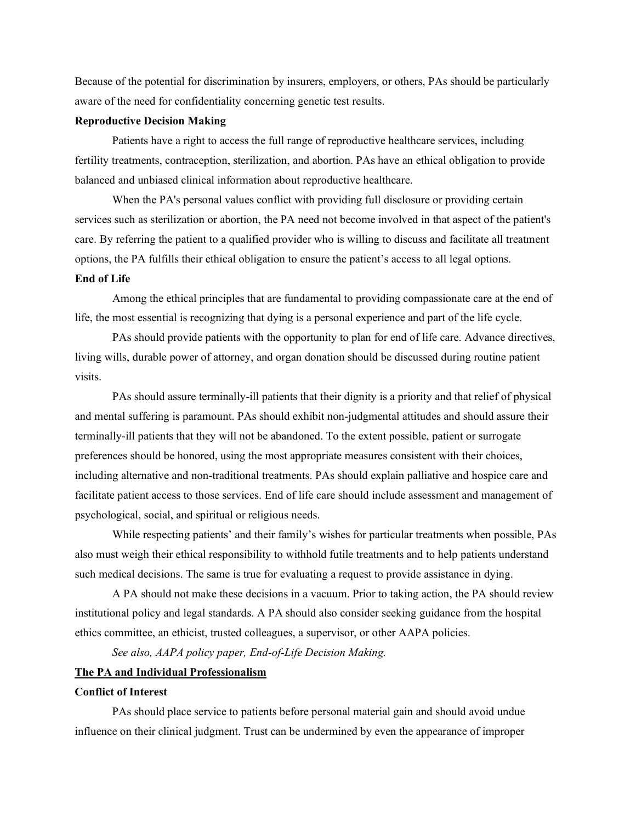Because of the potential for discrimination by insurers, employers, or others, PAs should be particularly aware of the need for confidentiality concerning genetic test results.

## **Reproductive Decision Making**

Patients have a right to access the full range of reproductive healthcare services, including fertility treatments, contraception, sterilization, and abortion. PAs have an ethical obligation to provide balanced and unbiased clinical information about reproductive healthcare.

When the PA's personal values conflict with providing full disclosure or providing certain services such as sterilization or abortion, the PA need not become involved in that aspect of the patient's care. By referring the patient to a qualified provider who is willing to discuss and facilitate all treatment options, the PA fulfills their ethical obligation to ensure the patient's access to all legal options.

#### **End of Life**

Among the ethical principles that are fundamental to providing compassionate care at the end of life, the most essential is recognizing that dying is a personal experience and part of the life cycle.

PAs should provide patients with the opportunity to plan for end of life care. Advance directives, living wills, durable power of attorney, and organ donation should be discussed during routine patient visits.

PAs should assure terminally-ill patients that their dignity is a priority and that relief of physical and mental suffering is paramount. PAs should exhibit non-judgmental attitudes and should assure their terminally-ill patients that they will not be abandoned. To the extent possible, patient or surrogate preferences should be honored, using the most appropriate measures consistent with their choices, including alternative and non-traditional treatments. PAs should explain palliative and hospice care and facilitate patient access to those services. End of life care should include assessment and management of psychological, social, and spiritual or religious needs.

While respecting patients' and their family's wishes for particular treatments when possible, PAs also must weigh their ethical responsibility to withhold futile treatments and to help patients understand such medical decisions. The same is true for evaluating a request to provide assistance in dying.

A PA should not make these decisions in a vacuum. Prior to taking action, the PA should review institutional policy and legal standards. A PA should also consider seeking guidance from the hospital ethics committee, an ethicist, trusted colleagues, a supervisor, or other AAPA policies.

*See also, AAPA policy paper, End-of-Life Decision Making.*

## **The PA and Individual Professionalism**

#### **Conflict of Interest**

PAs should place service to patients before personal material gain and should avoid undue influence on their clinical judgment. Trust can be undermined by even the appearance of improper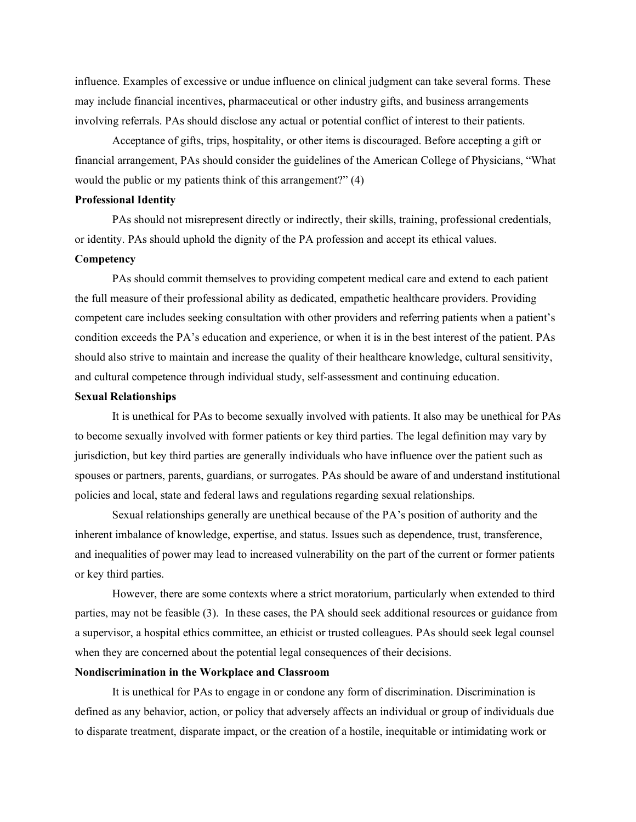influence. Examples of excessive or undue influence on clinical judgment can take several forms. These may include financial incentives, pharmaceutical or other industry gifts, and business arrangements involving referrals. PAs should disclose any actual or potential conflict of interest to their patients.

Acceptance of gifts, trips, hospitality, or other items is discouraged. Before accepting a gift or financial arrangement, PAs should consider the guidelines of the American College of Physicians, "What would the public or my patients think of this arrangement?" (4)

#### **Professional Identity**

PAs should not misrepresent directly or indirectly, their skills, training, professional credentials, or identity. PAs should uphold the dignity of the PA profession and accept its ethical values.

# **Competency**

PAs should commit themselves to providing competent medical care and extend to each patient the full measure of their professional ability as dedicated, empathetic healthcare providers. Providing competent care includes seeking consultation with other providers and referring patients when a patient's condition exceeds the PA's education and experience, or when it is in the best interest of the patient. PAs should also strive to maintain and increase the quality of their healthcare knowledge, cultural sensitivity, and cultural competence through individual study, self-assessment and continuing education.

#### **Sexual Relationships**

It is unethical for PAs to become sexually involved with patients. It also may be unethical for PAs to become sexually involved with former patients or key third parties. The legal definition may vary by jurisdiction, but key third parties are generally individuals who have influence over the patient such as spouses or partners, parents, guardians, or surrogates. PAs should be aware of and understand institutional policies and local, state and federal laws and regulations regarding sexual relationships.

Sexual relationships generally are unethical because of the PA's position of authority and the inherent imbalance of knowledge, expertise, and status. Issues such as dependence, trust, transference, and inequalities of power may lead to increased vulnerability on the part of the current or former patients or key third parties.

However, there are some contexts where a strict moratorium, particularly when extended to third parties, may not be feasible (3). In these cases, the PA should seek additional resources or guidance from a supervisor, a hospital ethics committee, an ethicist or trusted colleagues. PAs should seek legal counsel when they are concerned about the potential legal consequences of their decisions.

#### **Nondiscrimination in the Workplace and Classroom**

It is unethical for PAs to engage in or condone any form of discrimination. Discrimination is defined as any behavior, action, or policy that adversely affects an individual or group of individuals due to disparate treatment, disparate impact, or the creation of a hostile, inequitable or intimidating work or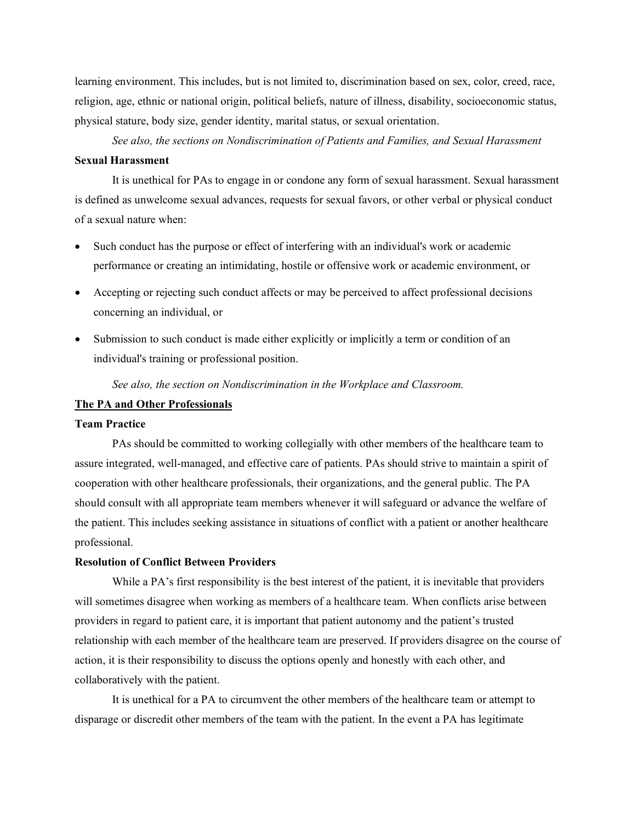learning environment. This includes, but is not limited to, discrimination based on sex, color, creed, race, religion, age, ethnic or national origin, political beliefs, nature of illness, disability, socioeconomic status, physical stature, body size, gender identity, marital status, or sexual orientation.

*See also, the sections on Nondiscrimination of Patients and Families, and Sexual Harassment*

# **Sexual Harassment**

It is unethical for PAs to engage in or condone any form of sexual harassment. Sexual harassment is defined as unwelcome sexual advances, requests for sexual favors, or other verbal or physical conduct of a sexual nature when:

- Such conduct has the purpose or effect of interfering with an individual's work or academic performance or creating an intimidating, hostile or offensive work or academic environment, or
- Accepting or rejecting such conduct affects or may be perceived to affect professional decisions concerning an individual, or
- Submission to such conduct is made either explicitly or implicitly a term or condition of an individual's training or professional position.

*See also, the section on Nondiscrimination in the Workplace and Classroom.*

### **The PA and Other Professionals**

## **Team Practice**

PAs should be committed to working collegially with other members of the healthcare team to assure integrated, well-managed, and effective care of patients. PAs should strive to maintain a spirit of cooperation with other healthcare professionals, their organizations, and the general public. The PA should consult with all appropriate team members whenever it will safeguard or advance the welfare of the patient. This includes seeking assistance in situations of conflict with a patient or another healthcare professional.

### **Resolution of Conflict Between Providers**

While a PA's first responsibility is the best interest of the patient, it is inevitable that providers will sometimes disagree when working as members of a healthcare team. When conflicts arise between providers in regard to patient care, it is important that patient autonomy and the patient's trusted relationship with each member of the healthcare team are preserved. If providers disagree on the course of action, it is their responsibility to discuss the options openly and honestly with each other, and collaboratively with the patient.

It is unethical for a PA to circumvent the other members of the healthcare team or attempt to disparage or discredit other members of the team with the patient. In the event a PA has legitimate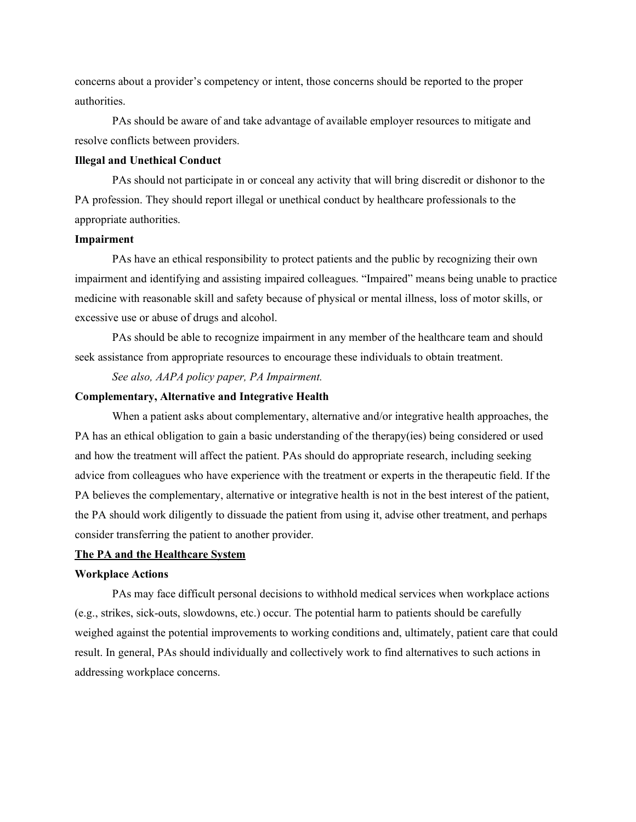concerns about a provider's competency or intent, those concerns should be reported to the proper authorities.

PAs should be aware of and take advantage of available employer resources to mitigate and resolve conflicts between providers.

## **Illegal and Unethical Conduct**

PAs should not participate in or conceal any activity that will bring discredit or dishonor to the PA profession. They should report illegal or unethical conduct by healthcare professionals to the appropriate authorities.

# **Impairment**

PAs have an ethical responsibility to protect patients and the public by recognizing their own impairment and identifying and assisting impaired colleagues. "Impaired" means being unable to practice medicine with reasonable skill and safety because of physical or mental illness, loss of motor skills, or excessive use or abuse of drugs and alcohol.

PAs should be able to recognize impairment in any member of the healthcare team and should seek assistance from appropriate resources to encourage these individuals to obtain treatment.

*See also, AAPA policy paper, PA Impairment.*

## **Complementary, Alternative and Integrative Health**

When a patient asks about complementary, alternative and/or integrative health approaches, the PA has an ethical obligation to gain a basic understanding of the therapy(ies) being considered or used and how the treatment will affect the patient. PAs should do appropriate research, including seeking advice from colleagues who have experience with the treatment or experts in the therapeutic field. If the PA believes the complementary, alternative or integrative health is not in the best interest of the patient, the PA should work diligently to dissuade the patient from using it, advise other treatment, and perhaps consider transferring the patient to another provider.

## **The PA and the Healthcare System**

#### **Workplace Actions**

PAs may face difficult personal decisions to withhold medical services when workplace actions (e.g., strikes, sick-outs, slowdowns, etc.) occur. The potential harm to patients should be carefully weighed against the potential improvements to working conditions and, ultimately, patient care that could result. In general, PAs should individually and collectively work to find alternatives to such actions in addressing workplace concerns.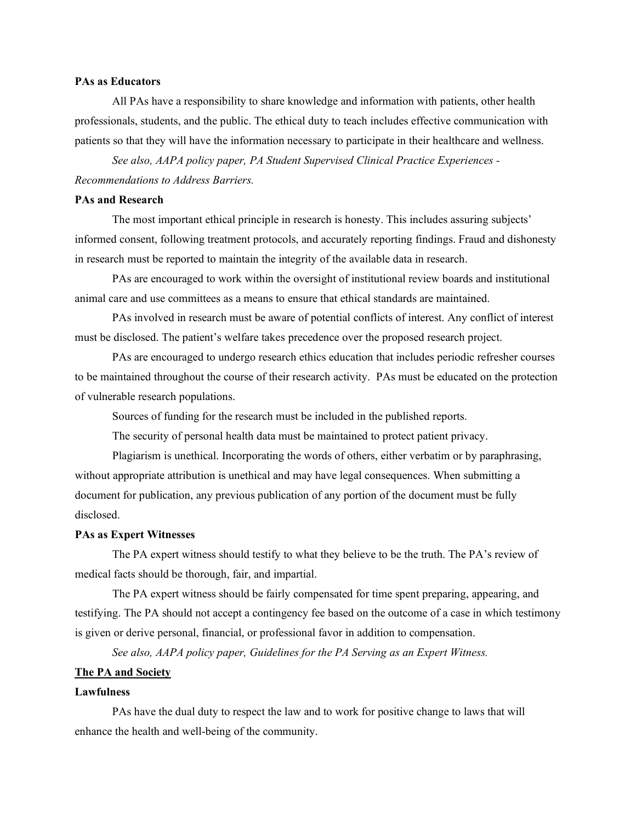#### **PAs as Educators**

All PAs have a responsibility to share knowledge and information with patients, other health professionals, students, and the public. The ethical duty to teach includes effective communication with patients so that they will have the information necessary to participate in their healthcare and wellness.

*See also, AAPA policy paper, PA Student Supervised Clinical Practice Experiences - Recommendations to Address Barriers.*

### **PAs and Research**

The most important ethical principle in research is honesty. This includes assuring subjects' informed consent, following treatment protocols, and accurately reporting findings. Fraud and dishonesty in research must be reported to maintain the integrity of the available data in research.

PAs are encouraged to work within the oversight of institutional review boards and institutional animal care and use committees as a means to ensure that ethical standards are maintained.

PAs involved in research must be aware of potential conflicts of interest. Any conflict of interest must be disclosed. The patient's welfare takes precedence over the proposed research project.

PAs are encouraged to undergo research ethics education that includes periodic refresher courses to be maintained throughout the course of their research activity. PAs must be educated on the protection of vulnerable research populations.

Sources of funding for the research must be included in the published reports.

The security of personal health data must be maintained to protect patient privacy.

Plagiarism is unethical. Incorporating the words of others, either verbatim or by paraphrasing, without appropriate attribution is unethical and may have legal consequences. When submitting a document for publication, any previous publication of any portion of the document must be fully disclosed.

#### **PAs as Expert Witnesses**

The PA expert witness should testify to what they believe to be the truth. The PA's review of medical facts should be thorough, fair, and impartial.

The PA expert witness should be fairly compensated for time spent preparing, appearing, and testifying. The PA should not accept a contingency fee based on the outcome of a case in which testimony is given or derive personal, financial, or professional favor in addition to compensation.

*See also, AAPA policy paper, Guidelines for the PA Serving as an Expert Witness.* 

## **The PA and Society**

#### **Lawfulness**

PAs have the dual duty to respect the law and to work for positive change to laws that will enhance the health and well-being of the community.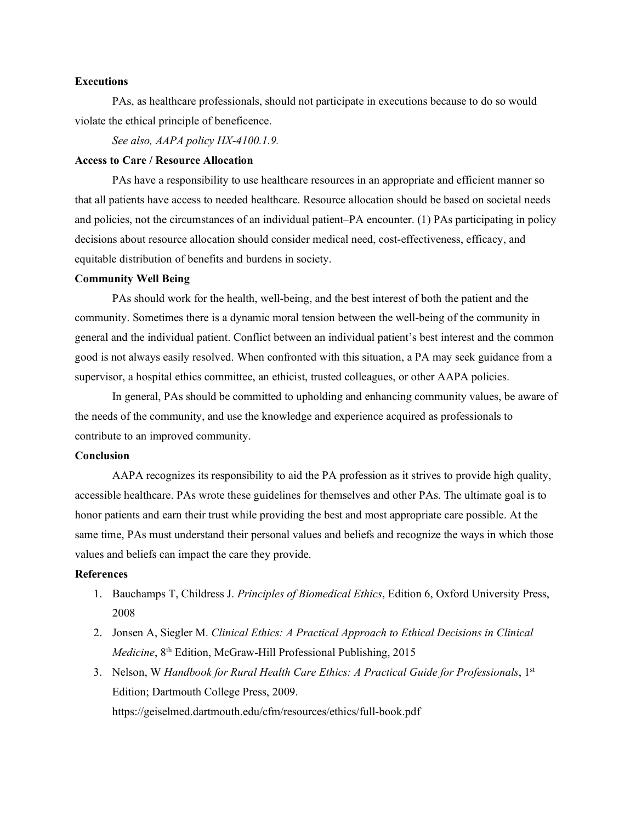### **Executions**

PAs, as healthcare professionals, should not participate in executions because to do so would violate the ethical principle of beneficence.

*See also, AAPA policy HX-4100.1.9.*

### **Access to Care / Resource Allocation**

PAs have a responsibility to use healthcare resources in an appropriate and efficient manner so that all patients have access to needed healthcare. Resource allocation should be based on societal needs and policies, not the circumstances of an individual patient–PA encounter. (1) PAs participating in policy decisions about resource allocation should consider medical need, cost-effectiveness, efficacy, and equitable distribution of benefits and burdens in society.

#### **Community Well Being**

PAs should work for the health, well-being, and the best interest of both the patient and the community. Sometimes there is a dynamic moral tension between the well-being of the community in general and the individual patient. Conflict between an individual patient's best interest and the common good is not always easily resolved. When confronted with this situation, a PA may seek guidance from a supervisor, a hospital ethics committee, an ethicist, trusted colleagues, or other AAPA policies.

In general, PAs should be committed to upholding and enhancing community values, be aware of the needs of the community, and use the knowledge and experience acquired as professionals to contribute to an improved community.

### **Conclusion**

AAPA recognizes its responsibility to aid the PA profession as it strives to provide high quality, accessible healthcare. PAs wrote these guidelines for themselves and other PAs. The ultimate goal is to honor patients and earn their trust while providing the best and most appropriate care possible. At the same time, PAs must understand their personal values and beliefs and recognize the ways in which those values and beliefs can impact the care they provide.

#### **References**

- 1. Bauchamps T, Childress J. *Principles of Biomedical Ethics*, Edition 6, Oxford University Press, 2008
- 2. Jonsen A, Siegler M. *Clinical Ethics: A Practical Approach to Ethical Decisions in Clinical Medicine*, 8<sup>th</sup> Edition, McGraw-Hill Professional Publishing, 2015
- 3. Nelson, W *Handbook for Rural Health Care Ethics: A Practical Guide for Professionals*, 1st Edition; Dartmouth College Press, 2009. https://geiselmed.dartmouth.edu/cfm/resources/ethics/full-book.pdf